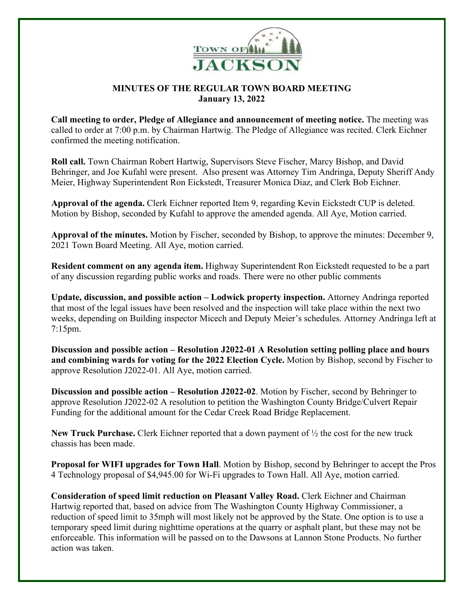

## **MINUTES OF THE REGULAR TOWN BOARD MEETING January 13, 2022**

**Call meeting to order, Pledge of Allegiance and announcement of meeting notice.** The meeting was called to order at 7:00 p.m. by Chairman Hartwig. The Pledge of Allegiance was recited. Clerk Eichner confirmed the meeting notification.

**Roll call.** Town Chairman Robert Hartwig, Supervisors Steve Fischer, Marcy Bishop, and David Behringer, and Joe Kufahl were present. Also present was Attorney Tim Andringa, Deputy Sheriff Andy Meier, Highway Superintendent Ron Eickstedt, Treasurer Monica Diaz, and Clerk Bob Eichner.

**Approval of the agenda.** Clerk Eichner reported Item 9, regarding Kevin Eickstedt CUP is deleted. Motion by Bishop, seconded by Kufahl to approve the amended agenda. All Aye, Motion carried.

**Approval of the minutes.** Motion by Fischer, seconded by Bishop, to approve the minutes: December 9, 2021 Town Board Meeting. All Aye, motion carried.

**Resident comment on any agenda item.** Highway Superintendent Ron Eickstedt requested to be a part of any discussion regarding public works and roads. There were no other public comments

**Update, discussion, and possible action – Lodwick property inspection.** Attorney Andringa reported that most of the legal issues have been resolved and the inspection will take place within the next two weeks, depending on Building inspector Micech and Deputy Meier's schedules. Attorney Andringa left at 7:15pm.

**Discussion and possible action – Resolution J2022-01 A Resolution setting polling place and hours and combining wards for voting for the 2022 Election Cycle.** Motion by Bishop, second by Fischer to approve Resolution J2022-01. All Aye, motion carried.

**Discussion and possible action – Resolution J2022-02**. Motion by Fischer, second by Behringer to approve Resolution J2022-02 A resolution to petition the Washington County Bridge/Culvert Repair Funding for the additional amount for the Cedar Creek Road Bridge Replacement.

**New Truck Purchase.** Clerk Eichner reported that a down payment of ½ the cost for the new truck chassis has been made.

**Proposal for WIFI upgrades for Town Hall**. Motion by Bishop, second by Behringer to accept the Pros 4 Technology proposal of \$4,945.00 for Wi-Fi upgrades to Town Hall. All Aye, motion carried.

**Consideration of speed limit reduction on Pleasant Valley Road.** Clerk Eichner and Chairman Hartwig reported that, based on advice from The Washington County Highway Commissioner, a reduction of speed limit to 35mph will most likely not be approved by the State. One option is to use a temporary speed limit during nighttime operations at the quarry or asphalt plant, but these may not be enforceable. This information will be passed on to the Dawsons at Lannon Stone Products. No further action was taken.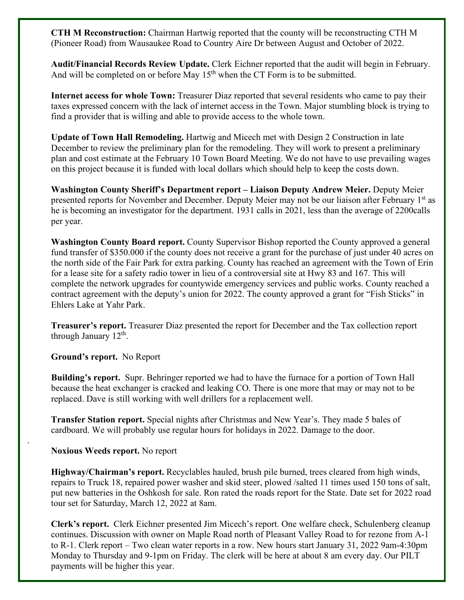**CTH M Reconstruction:** Chairman Hartwig reported that the county will be reconstructing CTH M (Pioneer Road) from Wausaukee Road to Country Aire Dr between August and October of 2022.

**Audit/Financial Records Review Update.** Clerk Eichner reported that the audit will begin in February. And will be completed on or before May  $15<sup>th</sup>$  when the CT Form is to be submitted.

**Internet access for whole Town:** Treasurer Diaz reported that several residents who came to pay their taxes expressed concern with the lack of internet access in the Town. Major stumbling block is trying to find a provider that is willing and able to provide access to the whole town.

**Update of Town Hall Remodeling.** Hartwig and Micech met with Design 2 Construction in late December to review the preliminary plan for the remodeling. They will work to present a preliminary plan and cost estimate at the February 10 Town Board Meeting. We do not have to use prevailing wages on this project because it is funded with local dollars which should help to keep the costs down.

**Washington County Sheriff's Department report – Liaison Deputy Andrew Meier.** Deputy Meier presented reports for November and December. Deputy Meier may not be our liaison after February 1<sup>st</sup> as he is becoming an investigator for the department. 1931 calls in 2021, less than the average of 2200calls per year.

**Washington County Board report.** County Supervisor Bishop reported the County approved a general fund transfer of \$350.000 if the county does not receive a grant for the purchase of just under 40 acres on the north side of the Fair Park for extra parking. County has reached an agreement with the Town of Erin for a lease site for a safety radio tower in lieu of a controversial site at Hwy 83 and 167. This will complete the network upgrades for countywide emergency services and public works. County reached a contract agreement with the deputy's union for 2022. The county approved a grant for "Fish Sticks" in Ehlers Lake at Yahr Park.

**Treasurer's report.** Treasurer Diaz presented the report for December and the Tax collection report through January  $12<sup>th</sup>$ .

**Ground's report.** No Report

**Building's report.** Supr. Behringer reported we had to have the furnace for a portion of Town Hall because the heat exchanger is cracked and leaking CO. There is one more that may or may not to be replaced. Dave is still working with well drillers for a replacement well.

**Transfer Station report.** Special nights after Christmas and New Year's. They made 5 bales of cardboard. We will probably use regular hours for holidays in 2022. Damage to the door.

**Noxious Weeds report.** No report

.

**Highway/Chairman's report.** Recyclables hauled, brush pile burned, trees cleared from high winds, repairs to Truck 18, repaired power washer and skid steer, plowed /salted 11 times used 150 tons of salt, put new batteries in the Oshkosh for sale. Ron rated the roads report for the State. Date set for 2022 road tour set for Saturday, March 12, 2022 at 8am.

**Clerk's report.** Clerk Eichner presented Jim Micech's report. One welfare check, Schulenberg cleanup continues. Discussion with owner on Maple Road north of Pleasant Valley Road to for rezone from A-1 to R-1. Clerk report – Two clean water reports in a row. New hours start January 31, 2022 9am-4:30pm Monday to Thursday and 9-1pm on Friday. The clerk will be here at about 8 am every day. Our PILT payments will be higher this year.